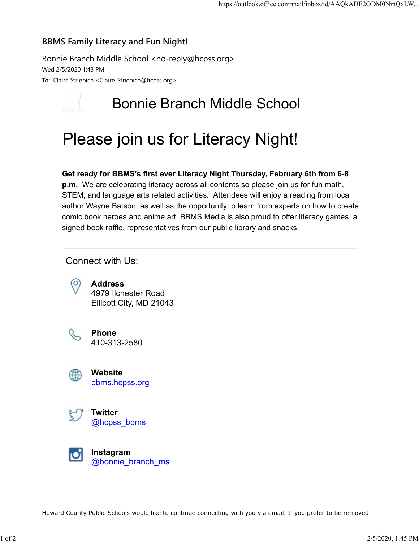### BBMS Family Literacy and Fun Night!

Bonnie Branch Middle School <no-reply@hcpss.org> Wed 2/5/2020 1:43 PM To: Claire Striebich <Claire\_Striebich@hcpss.org>

## Bonnie Branch Middle School

# Please join us for Literacy Night!

### Get ready for BBMS's first ever Literacy Night Thursday, February 6th from 6-8

p.m. We are celebrating literacy across all contents so please join us for fun math, STEM, and language arts related activities. Attendees will enjoy a reading from local author Wayne Batson, as well as the opportunity to learn from experts on how to create comic book heroes and anime art. BBMS Media is also proud to offer literacy games, a signed book raffle, representatives from our public library and snacks.

### Connect with Us:



Address 4979 Ilchester Road Ellicott City, MD 21043



Phone 410-313-2580



Website bbms.hcpss.org